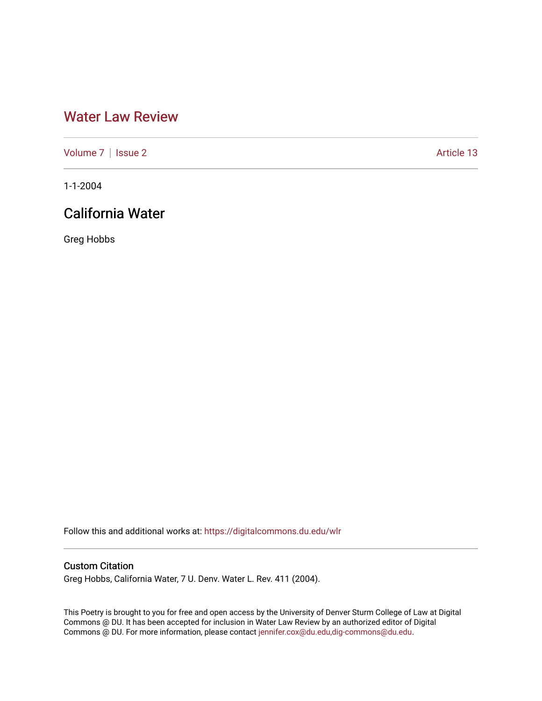# [Water Law Review](https://digitalcommons.du.edu/wlr)

[Volume 7](https://digitalcommons.du.edu/wlr/vol7) | [Issue 2](https://digitalcommons.du.edu/wlr/vol7/iss2) Article 13

1-1-2004

## California Water

Greg Hobbs

Follow this and additional works at: [https://digitalcommons.du.edu/wlr](https://digitalcommons.du.edu/wlr?utm_source=digitalcommons.du.edu%2Fwlr%2Fvol7%2Fiss2%2F13&utm_medium=PDF&utm_campaign=PDFCoverPages) 

### Custom Citation

Greg Hobbs, California Water, 7 U. Denv. Water L. Rev. 411 (2004).

This Poetry is brought to you for free and open access by the University of Denver Sturm College of Law at Digital Commons @ DU. It has been accepted for inclusion in Water Law Review by an authorized editor of Digital Commons @ DU. For more information, please contact [jennifer.cox@du.edu,dig-commons@du.edu.](mailto:jennifer.cox@du.edu,dig-commons@du.edu)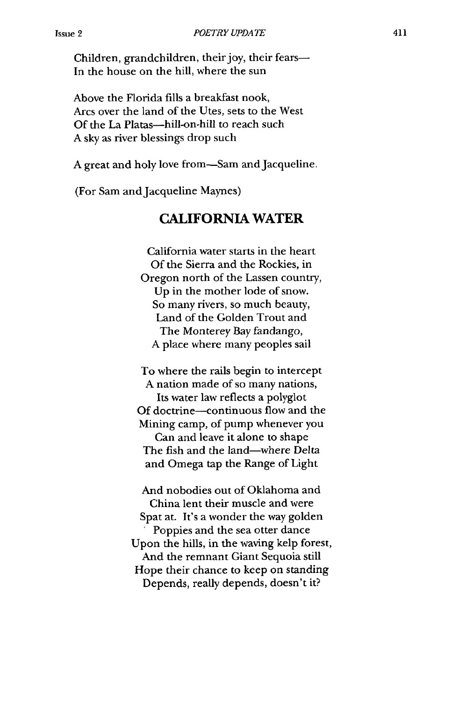Children, grandchildren, their joy, their fears-In the house on the hill, where the sun

Above the Florida fills a breakfast nook, Arcs over the land of the Utes, sets to the West Of the La Platas-hill-on-hill to reach such A sky as river blessings drop such

A great and holy love from-Sam and Jacqueline.

(For Sam andJacqueline Maynes)

#### **CALIFORNIA WATER**

California water starts in the heart **Of** the Sierra and the Rockies, in Oregon north of the Lassen country, **Up** in the mother lode of snow. So many rivers, so much beauty, Land of the Golden Trout and The Monterey Bay fandango, **A** place where many peoples sail

To where the rails begin to intercept **A** nation made of so many nations, Its water law reflects a polyglot **Of** doctrine-continuous flow and the Mining camp, of pump whenever you Can and leave it alone to shape The fish and the land—where Delta and Omega tap the Range of Light

And nobodies out of Oklahoma and China lent their muscle and were Spat at. It's a wonder the way golden **<sup>I</sup>**Poppies and the sea otter dance Upon the hills, in the waving kelp forest, And the remnant Giant Sequoia still Hope their chance to keep on standing Depends, really depends, doesn't it?